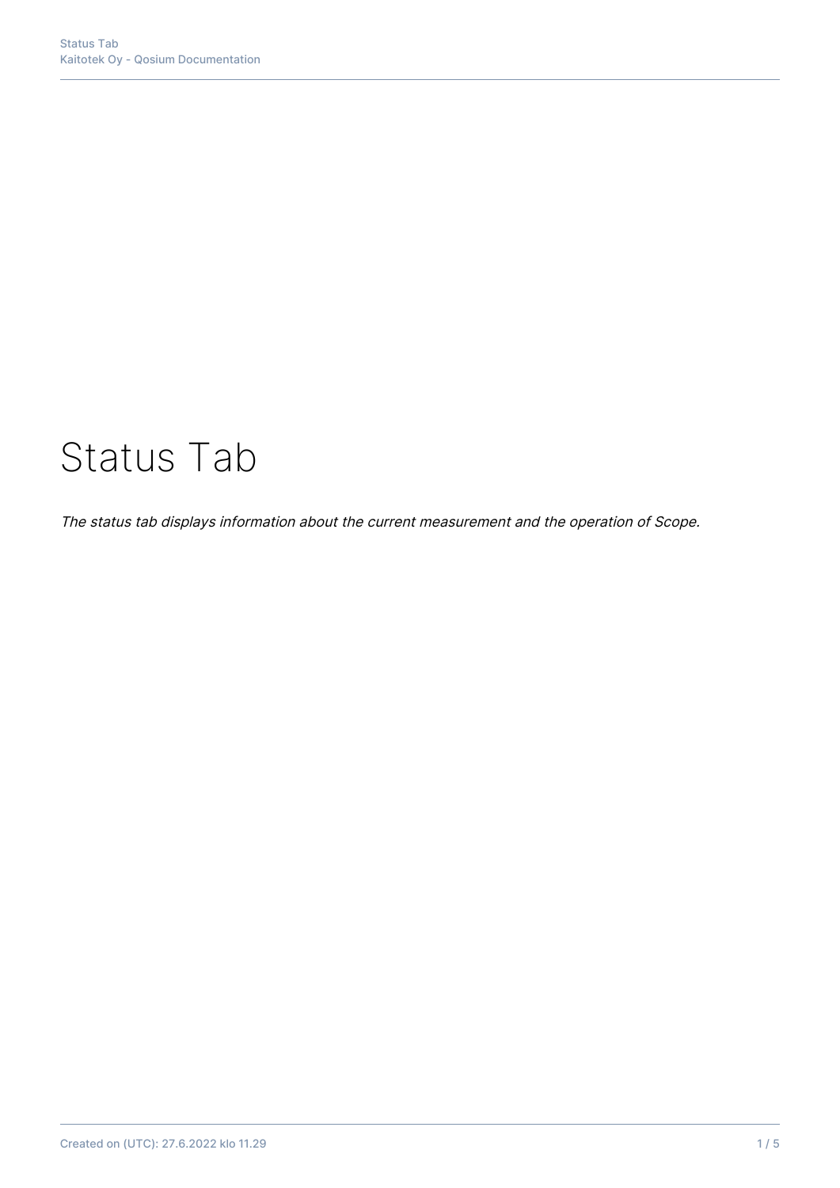# Status Tab

The status tab displays information about the current measurement and the operation of Scope.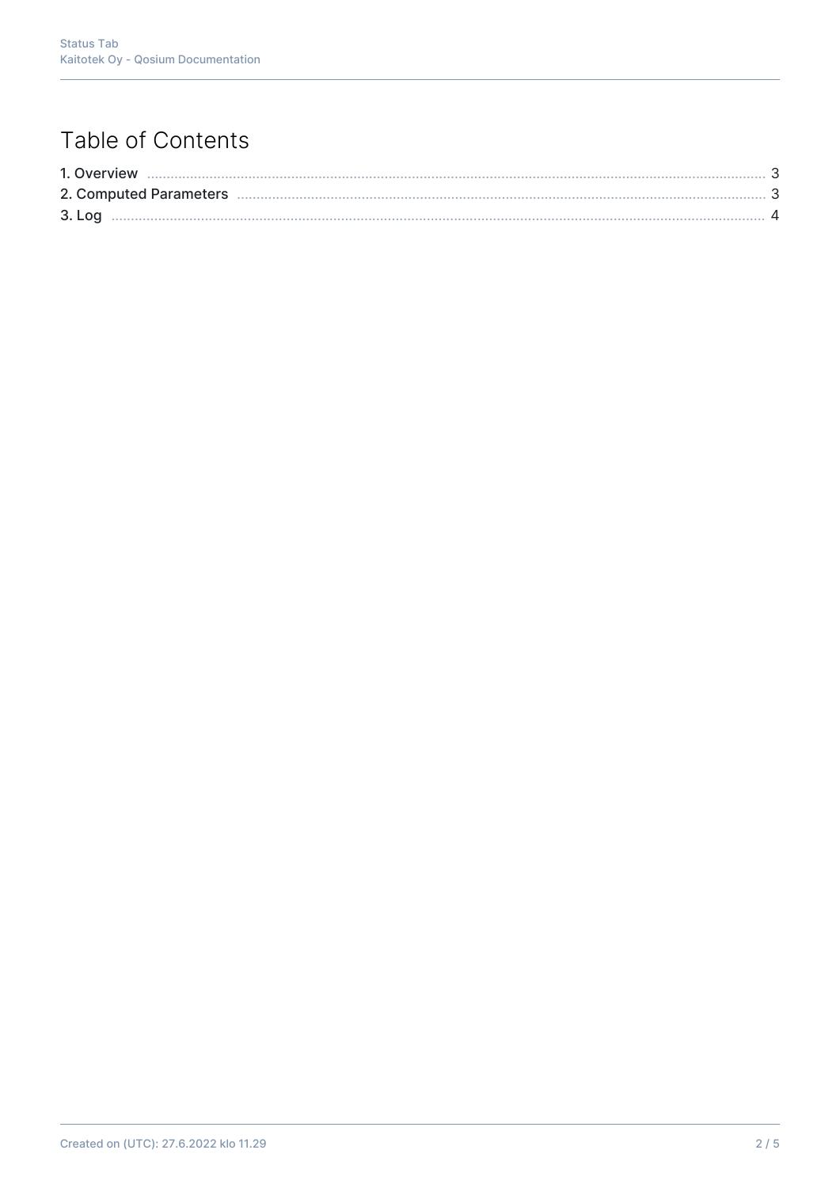## Table of Contents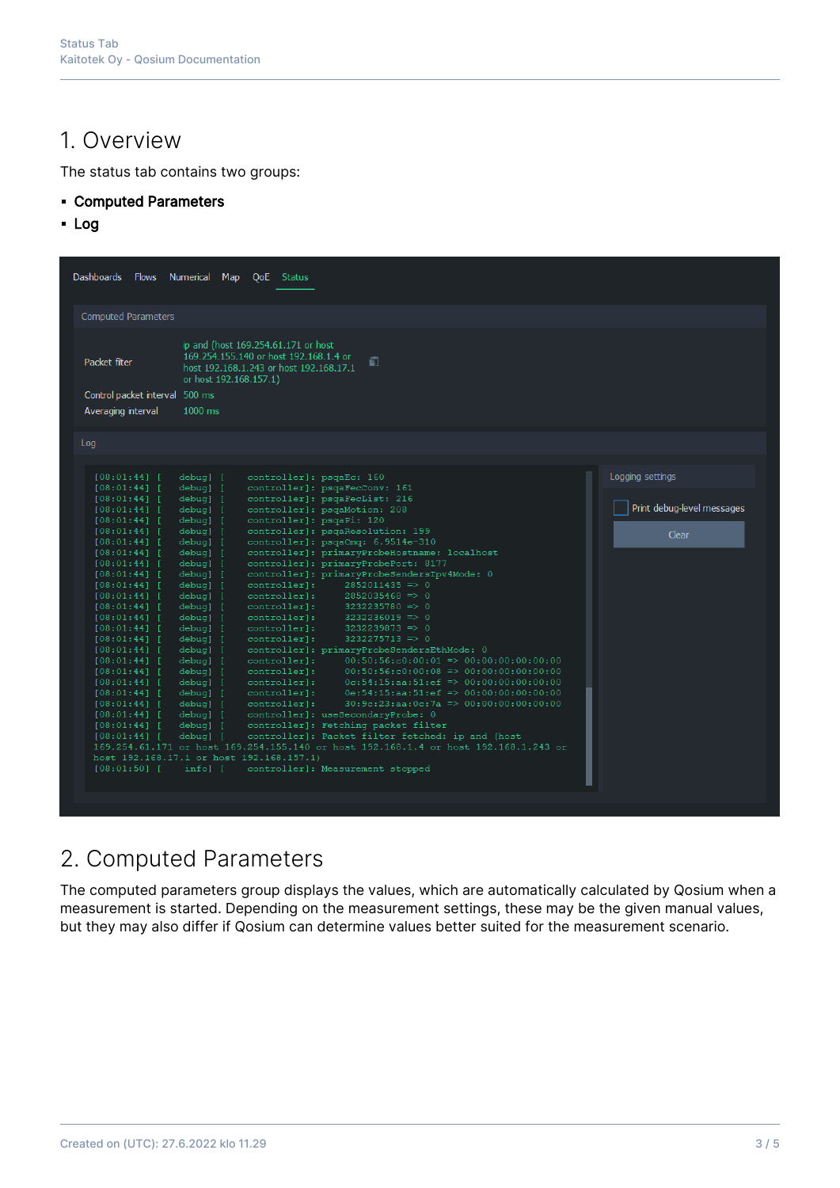#### 1. Overview

The status tab contains two groups:

- Computed Parameters
- Log

| <b>Computed Parameters</b><br>ip and (host 169.254.61.171 or host<br>169.254.155.140 or host 192.168.1.4 or<br>Packet filter<br>f)<br>host 192.168.1.243 or host 192.168.17.1<br>or host 192.168.157.1)<br>Control packet interval 500 ms<br>1000 ms<br>Averaging interval<br>Log<br>Logging settings<br>controller]: psqaEc: 160<br>$[08:01:44]$ [<br>debug] [<br>debug] [<br>controller]: psqaFecConv: 161<br>$[08:01:44]$ [<br>controller]: psgaFecList: 216<br>$[08:01:44]$ [<br>debug] [<br>Print debug-level messages<br>controller]: psqaMotion: 208<br>debug] [<br>$[08:01:44]$ [<br>controller]: psqaPi: 120<br>[08:01:44]<br>debug] [<br>controller]: psqaResolution: 199<br>$[08:01:44]$ [<br>debug] [<br>Clear<br>controller]: psgaCmg: 6.9514e-310<br>$[08:01:44]$ [<br>debug] [<br>controller]: primaryProbeHostname: localhost<br>$[08:01:44]$ [<br>debug] [<br>controller]: primaryProbePort: 8177<br>$[08:01:44]$ [<br>debug] [<br>controller]: primaryProbeSendersIpv4Mode: 0<br>$[08:01:44]$ [<br>debug] [<br>controller]:<br>$2852011435 \Rightarrow 0$<br>debug] [<br>$[08:01:44]$ [<br>controller]:<br>$2852035468$ => 0<br>$[08:01:44]$ [<br>debug] [<br>debug] [<br>controller]:<br>$3232235780 = > 0$<br>$[08:01:44]$ [<br>controller]:<br>$3232236019$ => 0<br>$[08:01:44]$ [<br>debug] [<br>controller]:<br>$3232239873$ => 0<br>debug] [<br>$[08:01:44]$ [<br>controller]:<br>$3232275713$ => 0<br>$[08:01:44]$ [<br>debug] [<br>controller]: primaryProbeSendersEthMode: 0<br>$[08:01:44]$ [<br>debug] [<br>$00:50:56:c0:00:01 \implies 00:00:00:00:00:00$<br>debug] [<br>controller]:<br>$[08:01:44]$ [<br>$00:50:56: c0:00:08 \implies 00:00:00:00:00:00$<br>controller]:<br>[08:01:44]<br>debug] [<br>controller]:<br>$0c:54:15:aa:51:ef \implies 00:00:00:00:00:00$<br>$[08:01:44]$ [<br>debug] [<br>$0e:54:15:aa:51:ef \implies 00:00:00:00:00:00$<br>controller]:<br>debug] [<br>$[08:01:44]$ [<br>$30:9c:23:aa:0c:7a \Rightarrow 00:00:00:00:00:00$<br>controller]:<br>$[08:01:44]$ [<br>debug] [<br>debug] [<br>controller]: useSecondaryProbe: 0<br>$[08:01:44]$ [<br>controller]: Fetching packet filter<br>$[08:01:44]$ [<br>debug] [<br>controller]: Packet filter fetched: ip and (host<br>$[08:01:44]$ [<br>debug] [<br>169.254.61.171 or host 169.254.155.140 or host 192.168.1.4 or host 192.168.1.243 or<br>host 192.168.17.1 or host 192.168.157.1)<br>$[08:01:50]$ [<br>info] [<br>controller]: Measurement stopped | Dashboards Flows Numerical Map | QoE Status |  |
|---------------------------------------------------------------------------------------------------------------------------------------------------------------------------------------------------------------------------------------------------------------------------------------------------------------------------------------------------------------------------------------------------------------------------------------------------------------------------------------------------------------------------------------------------------------------------------------------------------------------------------------------------------------------------------------------------------------------------------------------------------------------------------------------------------------------------------------------------------------------------------------------------------------------------------------------------------------------------------------------------------------------------------------------------------------------------------------------------------------------------------------------------------------------------------------------------------------------------------------------------------------------------------------------------------------------------------------------------------------------------------------------------------------------------------------------------------------------------------------------------------------------------------------------------------------------------------------------------------------------------------------------------------------------------------------------------------------------------------------------------------------------------------------------------------------------------------------------------------------------------------------------------------------------------------------------------------------------------------------------------------------------------------------------------------------------------------------------------------------------------------------------------------------------------------------------------------------------------------------------------------------------------------------------------------------------------------------------------------------------------------------------------------------------------------------------------------------------|--------------------------------|------------|--|
|                                                                                                                                                                                                                                                                                                                                                                                                                                                                                                                                                                                                                                                                                                                                                                                                                                                                                                                                                                                                                                                                                                                                                                                                                                                                                                                                                                                                                                                                                                                                                                                                                                                                                                                                                                                                                                                                                                                                                                                                                                                                                                                                                                                                                                                                                                                                                                                                                                                                     |                                |            |  |
|                                                                                                                                                                                                                                                                                                                                                                                                                                                                                                                                                                                                                                                                                                                                                                                                                                                                                                                                                                                                                                                                                                                                                                                                                                                                                                                                                                                                                                                                                                                                                                                                                                                                                                                                                                                                                                                                                                                                                                                                                                                                                                                                                                                                                                                                                                                                                                                                                                                                     |                                |            |  |
|                                                                                                                                                                                                                                                                                                                                                                                                                                                                                                                                                                                                                                                                                                                                                                                                                                                                                                                                                                                                                                                                                                                                                                                                                                                                                                                                                                                                                                                                                                                                                                                                                                                                                                                                                                                                                                                                                                                                                                                                                                                                                                                                                                                                                                                                                                                                                                                                                                                                     |                                |            |  |
|                                                                                                                                                                                                                                                                                                                                                                                                                                                                                                                                                                                                                                                                                                                                                                                                                                                                                                                                                                                                                                                                                                                                                                                                                                                                                                                                                                                                                                                                                                                                                                                                                                                                                                                                                                                                                                                                                                                                                                                                                                                                                                                                                                                                                                                                                                                                                                                                                                                                     |                                |            |  |
|                                                                                                                                                                                                                                                                                                                                                                                                                                                                                                                                                                                                                                                                                                                                                                                                                                                                                                                                                                                                                                                                                                                                                                                                                                                                                                                                                                                                                                                                                                                                                                                                                                                                                                                                                                                                                                                                                                                                                                                                                                                                                                                                                                                                                                                                                                                                                                                                                                                                     |                                |            |  |
|                                                                                                                                                                                                                                                                                                                                                                                                                                                                                                                                                                                                                                                                                                                                                                                                                                                                                                                                                                                                                                                                                                                                                                                                                                                                                                                                                                                                                                                                                                                                                                                                                                                                                                                                                                                                                                                                                                                                                                                                                                                                                                                                                                                                                                                                                                                                                                                                                                                                     |                                |            |  |
|                                                                                                                                                                                                                                                                                                                                                                                                                                                                                                                                                                                                                                                                                                                                                                                                                                                                                                                                                                                                                                                                                                                                                                                                                                                                                                                                                                                                                                                                                                                                                                                                                                                                                                                                                                                                                                                                                                                                                                                                                                                                                                                                                                                                                                                                                                                                                                                                                                                                     |                                |            |  |
|                                                                                                                                                                                                                                                                                                                                                                                                                                                                                                                                                                                                                                                                                                                                                                                                                                                                                                                                                                                                                                                                                                                                                                                                                                                                                                                                                                                                                                                                                                                                                                                                                                                                                                                                                                                                                                                                                                                                                                                                                                                                                                                                                                                                                                                                                                                                                                                                                                                                     |                                |            |  |
|                                                                                                                                                                                                                                                                                                                                                                                                                                                                                                                                                                                                                                                                                                                                                                                                                                                                                                                                                                                                                                                                                                                                                                                                                                                                                                                                                                                                                                                                                                                                                                                                                                                                                                                                                                                                                                                                                                                                                                                                                                                                                                                                                                                                                                                                                                                                                                                                                                                                     |                                |            |  |
|                                                                                                                                                                                                                                                                                                                                                                                                                                                                                                                                                                                                                                                                                                                                                                                                                                                                                                                                                                                                                                                                                                                                                                                                                                                                                                                                                                                                                                                                                                                                                                                                                                                                                                                                                                                                                                                                                                                                                                                                                                                                                                                                                                                                                                                                                                                                                                                                                                                                     |                                |            |  |
|                                                                                                                                                                                                                                                                                                                                                                                                                                                                                                                                                                                                                                                                                                                                                                                                                                                                                                                                                                                                                                                                                                                                                                                                                                                                                                                                                                                                                                                                                                                                                                                                                                                                                                                                                                                                                                                                                                                                                                                                                                                                                                                                                                                                                                                                                                                                                                                                                                                                     |                                |            |  |
|                                                                                                                                                                                                                                                                                                                                                                                                                                                                                                                                                                                                                                                                                                                                                                                                                                                                                                                                                                                                                                                                                                                                                                                                                                                                                                                                                                                                                                                                                                                                                                                                                                                                                                                                                                                                                                                                                                                                                                                                                                                                                                                                                                                                                                                                                                                                                                                                                                                                     |                                |            |  |
|                                                                                                                                                                                                                                                                                                                                                                                                                                                                                                                                                                                                                                                                                                                                                                                                                                                                                                                                                                                                                                                                                                                                                                                                                                                                                                                                                                                                                                                                                                                                                                                                                                                                                                                                                                                                                                                                                                                                                                                                                                                                                                                                                                                                                                                                                                                                                                                                                                                                     |                                |            |  |
|                                                                                                                                                                                                                                                                                                                                                                                                                                                                                                                                                                                                                                                                                                                                                                                                                                                                                                                                                                                                                                                                                                                                                                                                                                                                                                                                                                                                                                                                                                                                                                                                                                                                                                                                                                                                                                                                                                                                                                                                                                                                                                                                                                                                                                                                                                                                                                                                                                                                     |                                |            |  |
|                                                                                                                                                                                                                                                                                                                                                                                                                                                                                                                                                                                                                                                                                                                                                                                                                                                                                                                                                                                                                                                                                                                                                                                                                                                                                                                                                                                                                                                                                                                                                                                                                                                                                                                                                                                                                                                                                                                                                                                                                                                                                                                                                                                                                                                                                                                                                                                                                                                                     |                                |            |  |
|                                                                                                                                                                                                                                                                                                                                                                                                                                                                                                                                                                                                                                                                                                                                                                                                                                                                                                                                                                                                                                                                                                                                                                                                                                                                                                                                                                                                                                                                                                                                                                                                                                                                                                                                                                                                                                                                                                                                                                                                                                                                                                                                                                                                                                                                                                                                                                                                                                                                     |                                |            |  |
|                                                                                                                                                                                                                                                                                                                                                                                                                                                                                                                                                                                                                                                                                                                                                                                                                                                                                                                                                                                                                                                                                                                                                                                                                                                                                                                                                                                                                                                                                                                                                                                                                                                                                                                                                                                                                                                                                                                                                                                                                                                                                                                                                                                                                                                                                                                                                                                                                                                                     |                                |            |  |
|                                                                                                                                                                                                                                                                                                                                                                                                                                                                                                                                                                                                                                                                                                                                                                                                                                                                                                                                                                                                                                                                                                                                                                                                                                                                                                                                                                                                                                                                                                                                                                                                                                                                                                                                                                                                                                                                                                                                                                                                                                                                                                                                                                                                                                                                                                                                                                                                                                                                     |                                |            |  |
|                                                                                                                                                                                                                                                                                                                                                                                                                                                                                                                                                                                                                                                                                                                                                                                                                                                                                                                                                                                                                                                                                                                                                                                                                                                                                                                                                                                                                                                                                                                                                                                                                                                                                                                                                                                                                                                                                                                                                                                                                                                                                                                                                                                                                                                                                                                                                                                                                                                                     |                                |            |  |

#### 2. Computed Parameters

The computed parameters group displays the values, which are automatically calculated by Qosium when a measurement is started. Depending on the measurement settings, these may be the given manual values, but they may also differ if Qosium can determine values better suited for the measurement scenario.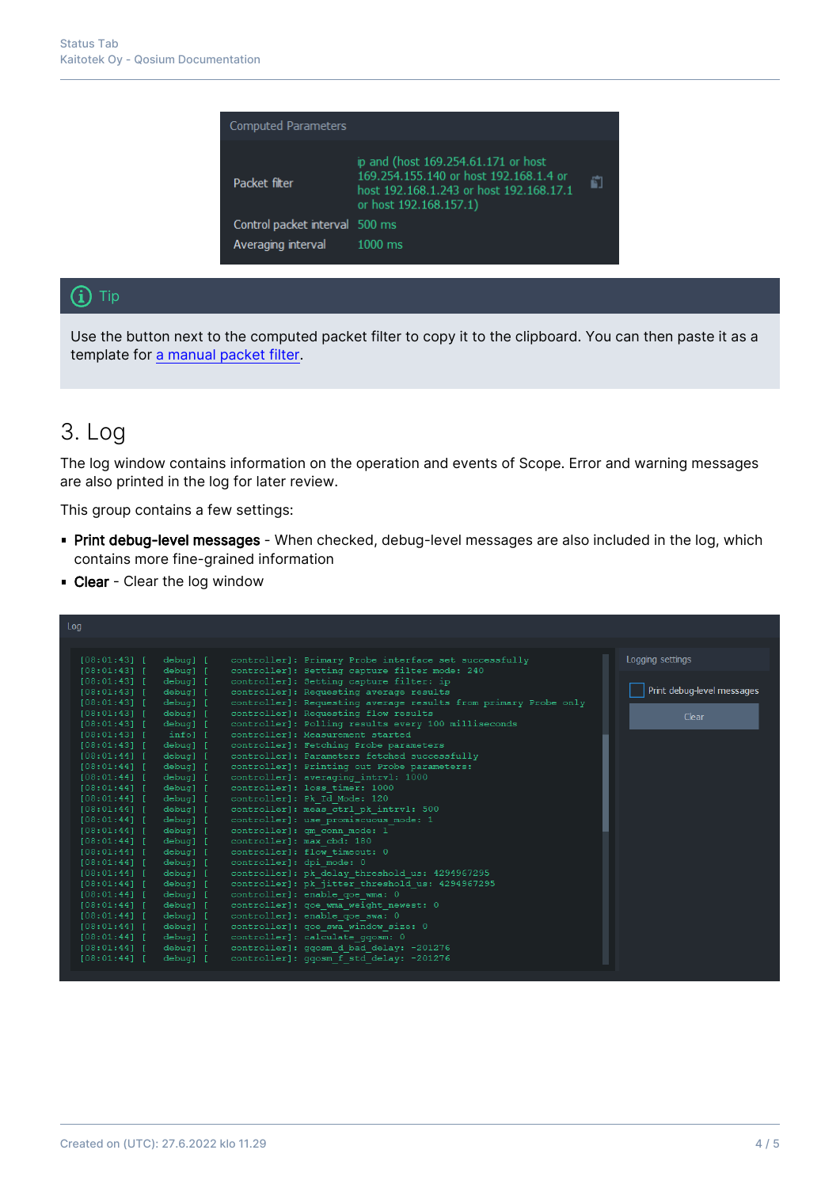| <b>Computed Parameters</b>     |                                                                                                                                                    |   |
|--------------------------------|----------------------------------------------------------------------------------------------------------------------------------------------------|---|
| Packet filter                  | ip and (host 169.254.61.171 or host<br>169.254.155.140 or host 192.168.1.4 or<br>host 192.168.1.243 or host 192.168.17.1<br>or host 192.168.157.1) | ñ |
| Control packet interval 500 ms |                                                                                                                                                    |   |
| Averaging interval             | $1000$ ms                                                                                                                                          |   |

#### $(i)$  Tip

Use the button next to the computed packet filter to copy it to the clipboard. You can then paste it as a template for [a manual packet filter](https://kaitotek.com/fi/resources/documentation/scope/measurement-control/measurement-tab#packet_capture_settings-packet_filter_mode).

### 3. Log

The log window contains information on the operation and events of Scope. Error and warning messages are also printed in the log for later review.

This group contains a few settings:

- **Print debug-level messages** When checked, debug-level messages are also included in the log, which contains more fine-grained information
- **Clear** Clear the log window

| Log                                                                                           |                            |
|-----------------------------------------------------------------------------------------------|----------------------------|
|                                                                                               |                            |
|                                                                                               |                            |
| [08:01:43]<br>debug] [<br>controller]: Primary Probe interface set successfully               | Logging settings           |
| debug] [<br>controller]: Setting capture filter mode: 240<br>[08:01:43]                       |                            |
| debug] [<br>controller]: Setting capture filter: ip<br>[08:01:43]                             |                            |
| controller]: Requesting average results<br>$[08:01:43]$ [<br>debug] [                         | Print debug-level messages |
| controller]: Requesting average results from primary Probe only<br>$[08:01:43]$ [<br>debug] [ |                            |
| controller]: Requesting flow results<br>$[08:01:43]$ [<br>debug] [                            | Clear                      |
| controller]: Polling results every 100 milliseconds<br>$[08:01:43]$ [<br>debug] [             |                            |
| controller]: Measurement started<br>$[08:01:43]$ [<br>infol [                                 |                            |
| [08:01:43]<br>debug] [<br>controller]: Fetching Probe parameters                              |                            |
| [08:01:44]<br>debug] [<br>controller]: Parameters fetched successfully                        |                            |
| $[08:01:44]$ [<br>debug] [<br>controller]: Printing out Probe parameters:                     |                            |
| controller]: averaging intrvl: 1000<br>$[08:01:44]$ [<br>debug] [                             |                            |
| controller]: loss timer: 1000<br>$[08:01:44]$ [<br>debug] [                                   |                            |
| controller]: Pk Id Mode: 120<br>$[08:01:44]$ [<br>debug] [                                    |                            |
| controller]: meas ctrl pk intrvl: 500<br>$[08:01:44]$ [<br>debug] [                           |                            |
| controller]: use promiscuous mode: 1<br>$[08:01:44]$ [<br>debug] [                            |                            |
| controller]: qm conn mode: 1<br>[08:01:44]<br>debug] [                                        |                            |
| controller]: max cbd: 180<br>[08:01:44]<br>debug] [                                           |                            |
| controller]: flow timeout: 0<br>[08:01:44]<br>debug] [                                        |                            |
| controller]: dpi mode: 0<br>$[08:01:44]$ [<br>debug] [                                        |                            |
| controller]: pk delay threshold us: 4294967295<br>[08:01:44]<br>debug] [                      |                            |
| controller]: pk jitter threshold us: 4294967295<br>[08:01:44]<br>debug] [                     |                            |
| controller]: enable goe wma: 0<br>$[08:01:44]$ [<br>debug] [                                  |                            |
| controller]: qoe wma weight newest: 0<br>[08:01:44]<br>debug] [                               |                            |
| controller]: enable goe swa: 0<br>[08:01:44]<br>debug] [                                      |                            |
| controller]: qoe swa window size: 0<br>debug] [<br>$[08:01:44]$ [                             |                            |
| controller]: calculate ggosm: 0<br>$[08:01:44]$ [<br>debug] [                                 |                            |
| controller]: ggosm d bad delay: -201276<br>[08:01:44]<br>debug] [                             |                            |
| [08:01:44]<br>controller]: ggosm f std delay: -201276<br>debug] [                             |                            |
|                                                                                               |                            |